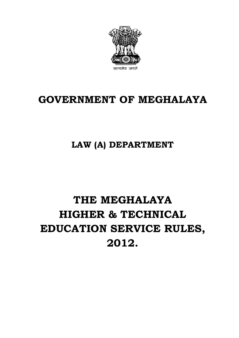

# **GOVERNMENT OF MEGHALAYA**

# **LAW (A) DEPARTMENT**

# **THE MEGHALAYA HIGHER & TECHNICAL EDUCATION SERVICE RULES, 2012.**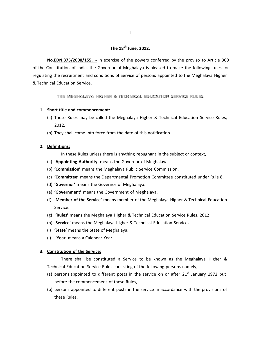# **The 18th June, 2012.**

**No.EDN.375/2000/155. ‐** In exercise of the powers conferred by the proviso to Article 309 of the Constitution of India, the Governor of Meghalaya is pleased to make the following rules for regulating the recruitment and conditions of Service of persons appointed to the Meghalaya Higher & Technical Education Service.

#### **THE MEGHALAYA HIGHER & TECHNICAL EDUCATION SERVICE RULES**

#### **1. Short title and commencement:**

- (a) These Rules may be called the Meghalaya Higher & Technical Education Service Rules, 2012.
- (b) They shall come into force from the date of this notification.

#### **2. Definitions:**

In these Rules unless there is anything repugnant in the subject or context,

- (a) **'Appointing Authority'** means the Governor of Meghalaya.
- (b) **'Commission'** means the Meghalaya Public Service Commission.
- (c) **'Committee'** means the Departmental Promotion Committee constituted under Rule 8.
- (d) **'Governor'** means the Governor of Meghalaya.
- (e) **'Government'** means the Government of Meghalaya.
- (f) **'Member of the Service'** means member of the Meghalaya Higher & Technical Education Service.
- (g) **'Rules'** means the Meghalaya Higher & Technical Education Service Rules, 2012.
- (h) **'Service'** means the Meghalaya higher & Technical Education Service**.**
- (i) **'State'** means the State of Meghalaya.
- (j) **'Year'** means a Calendar Year.

#### **3. Constitution of the Service:**

There shall be constituted a Service to be known as the Meghalaya Higher & Technical Education Service Rules consisting of the following persons namely;

- (a) persons appointed to different posts in the service on or after  $21<sup>st</sup>$  January 1972 but before the commencement of these Rules,
- (b) persons appointed to different posts in the service in accordance with the provisions of these Rules.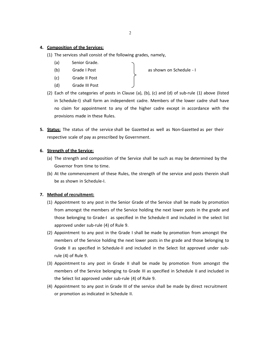#### **4. Composition of the Services:**

- (1) The services shall consist of the following grades, namely,
	- (a) Senior Grade.
	- (b) Grade I Post
	- (c) Grade II Post
	- (d) Grade III Post

as shown on Schedule - I

- (2) Each of the categories of posts in Clause (a), (b), (c) and (d) of sub‐rule (1) above (listed in Schedule‐I) shall form an independent cadre. Members of the lower cadre shall have no claim for appointment to any of the higher cadre except in accordance with the provisions made in these Rules.
- **5. Status:** The status of the service shall be Gazetted as well as Non-Gazetted as per their respective scale of pay as prescribed by Government.

#### **6. Strength of the Service:**

- (a) The strength and composition of the Service shall be such as may be determined by the Governor from time to time.
- (b) At the commencement of these Rules, the strength of the service and posts therein shall be as shown in Schedule‐I.

#### **7. Method of recruitment:**

- (1) Appointment to any post in the Senior Grade of the Service shall be made by promotion from amongst the members of the Service holding the next lower posts in the grade and those belonging to Grade‐I as specified in the Schedule‐II and included in the select list approved under sub‐rule (4) of Rule 9.
- (2) Appointment to any post in the Grade I shall be made by promotion from amongst the members of the Service holding the next lower posts in the grade and those belonging to Grade II as specified in Schedule-II and included in the Select list approved under subrule (4) of Rule 9.
- (3) Appointment to any post in Grade II shall be made by promotion from amongst the members of the Service belonging to Grade III as specified in Schedule II and included in the Select list approved under sub‐rule (4) of Rule 9.
- (4) Appointment to any post in Grade III of the service shall be made by direct recruitment or promotion as indicated in Schedule II.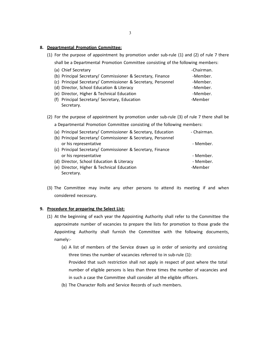#### **8. Departmental Promotion Committee:**

(1) For the purpose of appointment by promotion under sub-rule (1) and (2) of rule 7 there shall be a Departmental Promotion Committee consisting of the following members:

| (a) Chief Secretary                                          | -Chairman. |
|--------------------------------------------------------------|------------|
| (b) Principal Secretary/ Commissioner & Secretary, Finance   | -Member.   |
| (c) Principal Secretary/ Commissioner & Secretary, Personnel | -Member.   |
| (d) Director, School Education & Literacy                    | -Member.   |
| (e) Director, Higher & Technical Education                   | -Member.   |
| (f) Principal Secretary/ Secretary, Education                | -Member    |
| Secretary.                                                   |            |

(2) For the purpose of appointment by promotion under sub‐rule (3) of rule 7 there shall be

a Departmental Promotion Committee consisting of the following members:

| (a) Principal Secretary/ Commissioner & Secretary, Education | - Chairman. |
|--------------------------------------------------------------|-------------|
| (b) Principal Secretary/ Commissioner & Secretary, Personnel |             |
| or his representative                                        | - Member.   |
| (c) Principal Secretary/ Commissioner & Secretary, Finance   |             |
| or his representative                                        | - Member.   |
| (d) Director, School Education & Literacy                    | - Member.   |
| (e) Director, Higher & Technical Education                   | -Member     |
| Secretary.                                                   |             |

(3) The Committee may invite any other persons to attend its meeting if and when considered necessary.

#### **9. Procedure for preparing the Select List:**

- (1) At the beginning of each year the Appointing Authority shall refer to the Committee the approximate number of vacancies to prepare the lists for promotion to those grade the Appointing Authority shall furnish the Committee with the following documents, namely:‐
	- (a) A list of members of the Service drawn up in order of seniority and consisting three times the number of vacancies referred to in sub‐rule (1):
		- Provided that such restriction shall not apply in respect of post where the total number of eligible persons is less than three times the number of vacancies and in such a case the Committee shall consider all the eligible officers.
	- (b) The Character Rolls and Service Records of such members.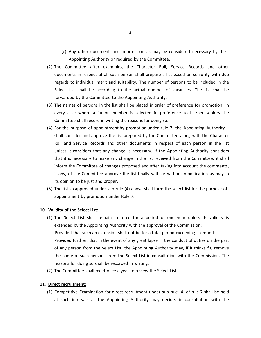- (c) Any other documents and information as may be considered necessary by the Appointing Authority or required by the Committee.
- (2) The Committee after examining the Character Roll, Service Records and other documents in respect of all such person shall prepare a list based on seniority with due regards to individual merit and suitability. The number of persons to be included in the Select List shall be according to the actual number of vacancies. The list shall be forwarded by the Committee to the Appointing Authority.
- (3) The names of persons in the list shall be placed in order of preference for promotion. In every case where a junior member is selected in preference to his/her seniors the Committee shall record in writing the reasons for doing so.
- (4) For the purpose of appointment by promotion under rule 7, the Appointing Authority shall consider and approve the list prepared by the Committee along with the Character Roll and Service Records and other documents in respect of each person in the list unless it considers that any change is necessary. If the Appointing Authority considers that it is necessary to make any change in the list received from the Committee, it shall inform the Committee of changes proposed and after taking into account the comments, if any, of the Committee approve the list finally with or without modification as may in its opinion to be just and proper.
- (5) The list so approved under sub‐rule (4) above shall form the select list for the purpose of appointment by promotion under Rule 7.

#### **10. Validity of the Select List:**

- (1) The Select List shall remain in force for a period of one year unless its validity is extended by the Appointing Authority with the approval of the Commission; Provided that such an extension shall not be for a total period exceeding six months; Provided further, that in the event of any great lapse in the conduct of duties on the part of any person from the Select List, the Appointing Authority may, if it thinks fit, remove the name of such persons from the Select List in consultation with the Commission. The reasons for doing so shall be recorded in writing.
- (2) The Committee shall meet once a year to review the Select List.

#### **11. Direct recruitment:**

(1) Competitive Examination for direct recruitment under sub‐rule (4) of rule 7 shall be held at such intervals as the Appointing Authority may decide, in consultation with the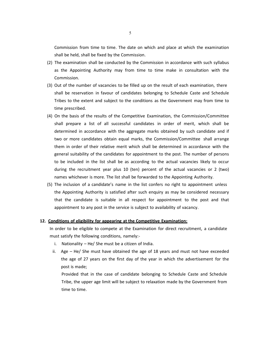Commission from time to time. The date on which and place at which the examination shall be held, shall be fixed by the Commission.

- (2) The examination shall be conducted by the Commission in accordance with such syllabus as the Appointing Authority may from time to time make in consultation with the Commission.
- (3) Out of the number of vacancies to be filled up on the result of each examination, there shall be reservation in favour of candidates belonging to Schedule Caste and Schedule Tribes to the extent and subject to the conditions as the Government may from time to time prescribed.
- (4) On the basis of the results of the Competitive Examination, the Commission/Committee shall prepare a list of all successful candidates in order of merit, which shall be determined in accordance with the aggregate marks obtained by such candidate and if two or more candidates obtain equal marks, the Commission/Committee shall arrange them in order of their relative merit which shall be determined in accordance with the general suitability of the candidates for appointment to the post. The number of persons to be included in the list shall be as according to the actual vacancies likely to occur during the recruitment year plus 10 (ten) percent of the actual vacancies or 2 (two) names whichever is more. The list shall be forwarded to the Appointing Authority.
- (5) The inclusion of a candidate's name in the list confers no right to appointment unless the Appointing Authority is satisfied after such enquiry as may be considered necessary that the candidate is suitable in all respect for appointment to the post and that appointment to any post in the service is subject to availability of vacancy.

#### **12. Conditions of eligibility for appearing at the Competitive Examination:**

In order to be eligible to compete at the Examination for direct recruitment, a candidate must satisfy the following conditions, namely:‐

- i. Nationality He/ She must be a citizen of India.
- ii. Age He/ She must have obtained the age of 18 years and must not have exceeded the age of 27 years on the first day of the year in which the advertisement for the post is made;

Provided that in the case of candidate belonging to Schedule Caste and Schedule Tribe, the upper age limit will be subject to relaxation made by the Government from time to time.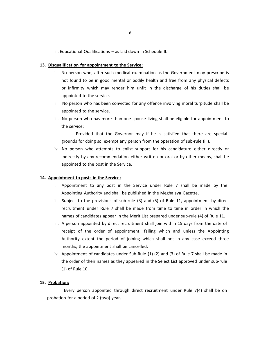iii. Educational Qualifications – as laid down in Schedule II.

#### **13. Disqualification for appointment to the Service:**

- i. No person who, after such medical examination as the Government may prescribe is not found to be in good mental or bodily health and free from any physical defects or infirmity which may render him unfit in the discharge of his duties shall be appointed to the service.
- ii. No person who has been convicted for any offence involving moral turpitude shall be appointed to the service.
- iii. No person who has more than one spouse living shall be eligible for appointment to the service:

Provided that the Governor may if he is satisfied that there are special grounds for doing so, exempt any person from the operation of sub-rule (iii).

iv. No person who attempts to enlist support for his candidature either directly or indirectly by any recommendation either written or oral or by other means, shall be appointed to the post in the Service.

#### **14. Appointment to posts in the Service:**

- i. Appointment to any post in the Service under Rule 7 shall be made by the Appointing Authority and shall be published in the Meghalaya Gazette.
- ii. Subject to the provisions of sub‐rule (3) and (5) of Rule 11, appointment by direct recruitment under Rule 7 shall be made from time to time in order in which the names of candidates appear in the Merit List prepared under sub-rule (4) of Rule 11.
- iii. A person appointed by direct recruitment shall join within 15 days from the date of receipt of the order of appointment, failing which and unless the Appointing Authority extent the period of joining which shall not in any case exceed three months, the appointment shall be cancelled.
- iv. Appointment of candidates under Sub‐Rule (1) (2) and (3) of Rule 7 shall be made in the order of their names as they appeared in the Select List approved under sub‐rule (1) of Rule 10.

#### **15. Probation:**

Every person appointed through direct recruitment under Rule 7(4) shall be on probation for a period of 2 (two) year.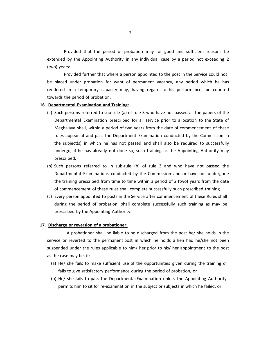Provided that the period of probation may for good and sufficient reasons be extended by the Appointing Authority in any individual case by a period not exceeding 2 (two) years:

Provided further that where a person appointed to the post in the Service could not be placed under probation for want of permanent vacancy, any period which he has rendered in a temporary capacity may, having regard to his performance, be counted towards the period of probation.

#### **16. Departmental Examination and Training:**

- (a) Such persons referred to sub‐rule (a) of rule 3 who have not passed all the papers of the Departmental Examination prescribed for all service prior to allocation to the State of Meghalaya shall, within a period of two years from the date of commencement of these rules appear at and pass the Department Examination conducted by the Commission in the subject(s) in which he has not passed and shall also be required to successfully undergo, if he has already not done so, such training as the Appointing Authority may prescribed.
- (b) Such persons referred to in sub‐rule (b) of rule 3 and who have not passed the Departmental Examinations conducted by the Commission and or have not undergone the training prescribed from time to time within a period of 2 (two) years from the date of commencement of these rules shall complete successfully such prescribed training.
- (c) Every person appointed to posts in the Service after commencement of these Rules shall during the period of probation, shall complete successfully such training as may be prescribed by the Appointing Authority.

#### **17. Discharge or reversion of a probationer:**

A probationer shall be liable to be discharged from the post he/ she holds in the service or reverted to the permanent post in which he holds a lien had he/she not been suspended under the rules applicable to him/ her prior to his/ her appointment to the post as the case may be, if:

- (a) He/ she fails to make sufficient use of the opportunities given during the training or fails to give satisfactory performance during the period of probation, or
- (b) He/ she fails to pass the Departmental Examination unless the Appointing Authority permits him to sit for re‐examination in the subject or subjects in which he failed, or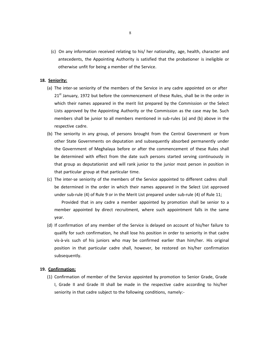(c) On any information received relating to his/ her nationality, age, health, character and antecedents, the Appointing Authority is satisfied that the probationer is ineligible or otherwise unfit for being a member of the Service.

#### **18. Seniority:**

- (a) The inter‐se seniority of the members of the Service in any cadre appointed on or after 21<sup>st</sup> January, 1972 but before the commencement of these Rules, shall be in the order in which their names appeared in the merit list prepared by the Commission or the Select Lists approved by the Appointing Authority or the Commission as the case may be. Such members shall be junior to all members mentioned in sub-rules (a) and (b) above in the respective cadre.
- (b) The seniority in any group, of persons brought from the Central Government or from other State Governments on deputation and subsequently absorbed permanently under the Government of Meghalaya before or after the commencement of these Rules shall be determined with effect from the date such persons started serving continuously in that group as deputationist and will rank junior to the junior most person in position in that particular group at that particular time.
- (c) The inter‐se seniority of the members of the Service appointed to different cadres shall be determined in the order in which their names appeared in the Select List approved under sub‐rule (4) of Rule 9 or in the Merit List prepared under sub‐rule (4) of Rule 11;

Provided that in any cadre a member appointed by promotion shall be senior to a member appointed by direct recruitment, where such appointment falls in the same year.

(d) If confirmation of any member of the Service is delayed on account of his/her failure to qualify for such confirmation, he shall lose his position in order to seniority in that cadre vis‐à‐vis such of his juniors who may be confirmed earlier than him/her. His original position in that particular cadre shall, however, be restored on his/her confirmation subsequently.

#### **19. Confirmation:**

(1) Confirmation of member of the Service appointed by promotion to Senior Grade, Grade I, Grade II and Grade III shall be made in the respective cadre according to his/her seniority in that cadre subject to the following conditions, namely:‐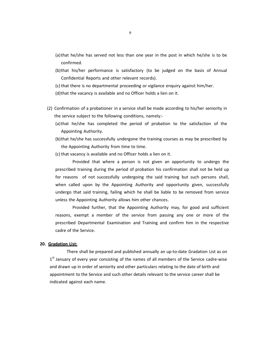- (a) that he/she has served not less than one year in the post in which he/she is to be confirmed.
- (b)that his/her performance is satisfactory (to be judged on the basis of Annual Confidential Reports and other relevant records).
- (c) that there is no departmental proceeding or vigilance enquiry against him/her.
- (d)that the vacancy is available and no Officer holds a lien on it.
- (2) Confirmation of a probationer in a service shall be made according to his/her seniority in the service subject to the following conditions, namely:‐
	- (a) that he/she has completed the period of probation to the satisfaction of the Appointing Authority.
	- (b)that he/she has successfully undergone the training courses as may be prescribed by the Appointing Authority from time to time.
	- (c) that vacancy is available and no Officer holds a lien on it.

Provided that where a person is not given an opportunity to undergo the prescribed training during the period of probation his confirmation shall not be held up for reasons of not successfully undergoing the said training but such persons shall, when called upon by the Appointing Authority and opportunity given, successfully undergo that said training, failing which he shall be liable to be removed from service unless the Appointing Authority allows him other chances.

Provided further, that the Appointing Authority may, for good and sufficient reasons, exempt a member of the service from passing any one or more of the prescribed Departmental Examination and Training and confirm him in the respective cadre of the Service.

#### **20. Gradation List:**

There shall be prepared and published annually an up‐to‐date Gradation List as on  $1<sup>st</sup>$  January of every year consisting of the names of all members of the Service cadre-wise and drawn up in order of seniority and other particulars relating to the date of birth and appointment to the Service and such other details relevant to the service career shall be indicated against each name.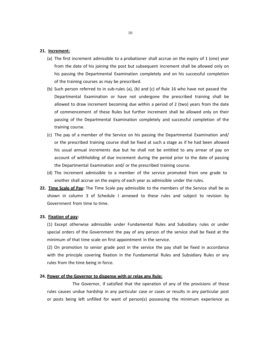#### **21. Increment:**

- (a) The first increment admissible to a probationer shall accrue on the expiry of 1 (one) year from the date of his joining the post but subsequent increment shall be allowed only on his passing the Departmental Examination completely and on his successful completion of the training courses as may be prescribed.
- (b) Such person referred to in sub‐rules (a), (b) and (c) of Rule 16 who have not passed the Departmental Examination or have not undergone the prescribed training shall be allowed to draw increment becoming due within a period of 2 (two) years from the date of commencement of these Rules but further increment shall be allowed only on their passing of the Departmental Examination completely and successful completion of the training course.
- (c) The pay of a member of the Service on his passing the Departmental Examination and/ or the prescribed training course shall be fixed at such a stage as if he had been allowed his usual annual increments due but he shall not be entitled to any arrear of pay on account of withholding of due increment during the period prior to the date of passing the Departmental Examination and/ or the prescribed training course.
- (d) The increment admissible to a member of the service promoted from one grade to another shall accrue on the expiry of each year as admissible under the rules.
- **22. Time Scale of Pay:** The Time Scale pay admissible to the members of the Service shall be as shown in column 3 of Schedule I annexed to these rules and subject to revision by Government from time to time.

#### **23. Fixation of pay:**

(1) Except otherwise admissible under Fundamental Rules and Subsidiary rules or under special orders of the Government the pay of any person of the service shall be fixed at the minimum of that time scale on first appointment in the service.

(2) On promotion to senior grade post in the service the pay shall be fixed in accordance with the principle covering fixation in the Fundamental Rules and Subsidiary Rules or any rules from the time being in force.

#### **24. Power of the Governor to dispense with or relax any Rule:**

The Governor, if satisfied that the operation of any of the provisions of these rules causes undue hardship in any particular case or cases or results in any particular post or posts being left unfilled for want of person(s) possessing the minimum experience as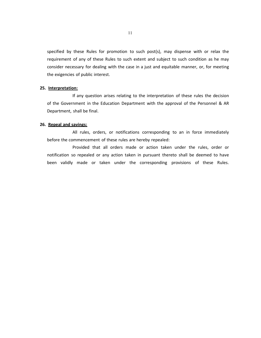specified by these Rules for promotion to such post(s), may dispense with or relax the requirement of any of these Rules to such extent and subject to such condition as he may consider necessary for dealing with the case in a just and equitable manner, or, for meeting the exigencies of public interest.

#### **25. Interpretation:**

If any question arises relating to the interpretation of these rules the decision of the Government in the Education Department with the approval of the Personnel & AR Department, shall be final.

#### **26. Repeal and savings:**

All rules, orders, or notifications corresponding to an in force immediately before the commencement of these rules are hereby repealed:

Provided that all orders made or action taken under the rules, order or notification so repealed or any action taken in pursuant thereto shall be deemed to have been validly made or taken under the corresponding provisions of these Rules.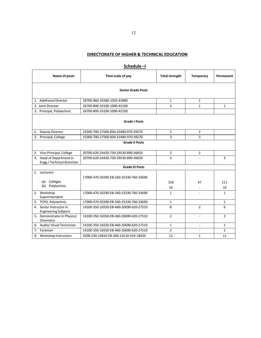## **DIRECTORATE OF HIGHER & TECHNICAL EDUCATION**

|                                                                                      | Julieuule −i                                                                       |                                        |                       |                  |                |  |  |  |
|--------------------------------------------------------------------------------------|------------------------------------------------------------------------------------|----------------------------------------|-----------------------|------------------|----------------|--|--|--|
|                                                                                      | Name of posts                                                                      | Time scale of pay                      | <b>Total strength</b> | <b>Temporary</b> | Permanent      |  |  |  |
|                                                                                      | <b>Senior Grade Posts</b>                                                          |                                        |                       |                  |                |  |  |  |
| 1. Additional Director<br>28700-860-35580-1050-43980<br>$\mathbf{1}$<br>$\mathbf{1}$ |                                                                                    |                                        |                       |                  |                |  |  |  |
|                                                                                      | 2. Joint Director                                                                  | 26700-800-33100-1000-42100             | $\overline{2}$        | $\mathbf{1}$     | $\mathbf{1}$   |  |  |  |
|                                                                                      | 3. Principal, Polytechnic                                                          | 26700-800-33100-1000-42100             |                       |                  |                |  |  |  |
|                                                                                      |                                                                                    | <b>Grade I Posts</b>                   |                       |                  |                |  |  |  |
| 1.                                                                                   | <b>Deputy Director</b>                                                             | 23300-700-27500-830-32480-970-39270    | 2                     | $\overline{2}$   |                |  |  |  |
| 2.                                                                                   | Principal, College                                                                 | 23300-700-27500-830-32480-970-39270    | 3                     | 3                |                |  |  |  |
|                                                                                      |                                                                                    | <b>Grade II Posts</b>                  |                       |                  |                |  |  |  |
|                                                                                      | 3. Vice-Principal, College                                                         | 20700-620-24420-730-29530-890-36650    | $\overline{2}$        | $\overline{2}$   |                |  |  |  |
|                                                                                      | 4. Head of Department in<br>Engg./ Technical Branches                              | 20700-620-24420-730-29530-890-36650    | 3                     |                  | 3              |  |  |  |
|                                                                                      | <b>Grade III Posts</b>                                                             |                                        |                       |                  |                |  |  |  |
| 1.                                                                                   | Lecturers<br>(a) Colleges<br>Polytechnic<br>(b)                                    | 17000-470-20290-EB-560-25330-760-33690 | 158<br>10             | 47               | 111<br>10      |  |  |  |
| 2. Workshop<br>17000-470-20290-EB-560-25330-760-33690<br>Superintendent              |                                                                                    | 1                                      |                       | 1                |                |  |  |  |
|                                                                                      | 3. TCPO, Polytechnic                                                               | 17000-470-20290-EB-560-25330-760-33690 | 1                     |                  | 1              |  |  |  |
| 4.                                                                                   | Senior Instructor in<br><b>Engineering Subjects</b>                                | 14100-350-16550-EB-460-20690-620-27510 | 8                     | $\overline{2}$   | 6              |  |  |  |
|                                                                                      | 5. Demonstrator in Physics/<br>14100-350-16550-EB-460-20690-620-27510<br>Chemistry |                                        | $\overline{2}$        | $\overline{a}$   | $\overline{2}$ |  |  |  |
|                                                                                      | 6. Audio/ Visual Technician                                                        | 14100-350-16550-EB-460-20690-620-27510 | $\mathbf{1}$          | $\overline{a}$   | $\mathbf{1}$   |  |  |  |
| 7.                                                                                   | Foreman                                                                            | 14100-350-16550-EB-460-20690-620-27510 | $\overline{2}$        | $\overline{a}$   | $\overline{2}$ |  |  |  |
| 8. Workshop Instructors<br>9200-230-10810-EB-300-13510-410-18020                     |                                                                                    | 12                                     | $\mathbf{1}$          | 11               |                |  |  |  |

**Schedule –I**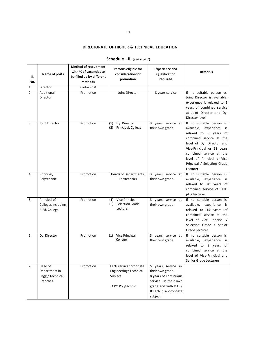## **DIRECTORATE OF HIGHER & TECHNICAL EDUCATION**

| SI.<br>No. | Name of posts                                                   | <b>Method of recruitment</b><br>with % of vacancies to<br>be filled up by different<br>methods | Persons eligible for<br>consideration for<br>promotion                                 | <b>Experience and</b><br>Qualification<br>required                                                                                                  | <b>Remarks</b>                                                                                                                                                                                                                                                                  |
|------------|-----------------------------------------------------------------|------------------------------------------------------------------------------------------------|----------------------------------------------------------------------------------------|-----------------------------------------------------------------------------------------------------------------------------------------------------|---------------------------------------------------------------------------------------------------------------------------------------------------------------------------------------------------------------------------------------------------------------------------------|
| 1.         | Director                                                        | Cadre Post                                                                                     |                                                                                        |                                                                                                                                                     |                                                                                                                                                                                                                                                                                 |
| 2.         | Additional<br>Director                                          | Promotion                                                                                      | Joint Director                                                                         | 3 years service                                                                                                                                     | If no suitable person as<br>Joint Director is available,<br>experience is relaxed to 5<br>years of combined service<br>at Joint Director and Dy.<br>Director level                                                                                                              |
| 3.         | Joint Director                                                  | Promotion                                                                                      | Dy. Director<br>(1)<br>Principal, College<br>(2)                                       | 3 years service at<br>their own grade                                                                                                               | If no suitable person is<br>available,<br>experience<br>is<br>relaxed to 5 years<br>of<br>combined service at the<br>level of Dy. Director and<br>Vice-Principal or 18 years<br>combined service at the<br>level of Principal / Vice<br>Principal / Selection Grade<br>Lecturer |
| 4.         | Principal,<br>Polytechnic                                       | Promotion                                                                                      | Heads of Departments,<br>Polytechnics                                                  | 3 years service at<br>their own grade                                                                                                               | If no suitable person is<br>available,<br>experience<br>is<br>relaxed to 20 years of<br>combined service of HOD<br>plus Lecturer.                                                                                                                                               |
| 5.         | Principal of<br>Colleges including<br><b>B.Ed. College</b>      | Promotion                                                                                      | Vice-Principal<br>(1)<br><b>Selection Grade</b><br>(2)<br>Lecturer                     | 3 years service at<br>their own grade                                                                                                               | If no suitable person is<br>available,<br>experience<br>is<br>relaxed to 15 years of<br>combined service at the<br>level of Vice Principal /<br>Selection Grade / Senior<br>Grade Lecturer.                                                                                     |
| 6.         | Dy. Director                                                    | Promotion                                                                                      | Vice Principal<br>(1)<br>College                                                       | 3 years service at<br>their own grade                                                                                                               | If no suitable person is<br>available,<br>experience<br>is<br>relaxed to 8 years<br>of<br>combined service at the<br>level of Vice-Principal and<br>Senior Grade Lecturers                                                                                                      |
| 7.         | Head of<br>Department in<br>Engg./ Technical<br><b>Branches</b> | Promotion                                                                                      | Lecturer in appropriate<br>Engineering/Technical<br>Subject<br><b>TCPO Polytechnic</b> | 5 years service in<br>their own grade<br>8 years of continuous<br>service in their own<br>grade and with B.E. /<br>B.Tech.in appropriate<br>subject |                                                                                                                                                                                                                                                                                 |

## **Schedule –II** (*see rule 7*)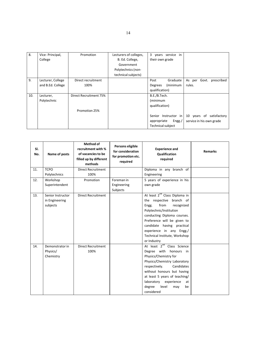| 8.  | Vice- Principal,  | Promotion              | Lecturers of colleges, | 3 years service in    |                          |
|-----|-------------------|------------------------|------------------------|-----------------------|--------------------------|
|     | College           |                        | B. Ed. College,        | their own grade       |                          |
|     |                   |                        | Government             |                       |                          |
|     |                   |                        | Polytechnics (non-     |                       |                          |
|     |                   |                        | technical subjects)    |                       |                          |
| 9.  | Lecturer, College | Direct recruitment     |                        | Graduate<br>Post      | As per Govt. prescribed  |
|     | and B.Ed. College | 100%                   |                        | (minimum<br>Degrees   | rules.                   |
|     |                   |                        |                        | qualification)        |                          |
| 10. | Lecturer,         | Direct Recruitment 75% |                        | B.E./B.Tech.          |                          |
|     | Polytechnic       |                        |                        | (minimum              |                          |
|     |                   |                        |                        | qualification)        |                          |
|     |                   | Promotion 25%          |                        |                       |                          |
|     |                   |                        |                        | Senior Instructor in  | 10 years of satisfactory |
|     |                   |                        |                        | Engg./<br>appropriate | service in his own grade |
|     |                   |                        |                        | Technical subject     |                          |

| SI.<br>No. | Name of posts     | Method of<br>recruitment with %<br>of vacancies to be<br>filled up by different<br>methods | Persons eligible<br>for consideration<br>for promotion etc.<br>required | <b>Experience and</b><br><b>Qualification</b><br>required | <b>Remarks</b> |
|------------|-------------------|--------------------------------------------------------------------------------------------|-------------------------------------------------------------------------|-----------------------------------------------------------|----------------|
| 11.        | <b>TCPO</b>       | <b>Direct Recruitment</b>                                                                  |                                                                         | Diploma in any branch of                                  |                |
|            | Polytechnics      | 100%                                                                                       |                                                                         | Engineering                                               |                |
| 12.        | Workshop          | Promotion                                                                                  | Foreman in                                                              | 5 years of experience in his                              |                |
|            | Superintendent    |                                                                                            | Engineering                                                             | own grade                                                 |                |
|            |                   |                                                                                            | Subjects                                                                |                                                           |                |
| 13.        | Senior Instructor | <b>Direct Recruitment</b>                                                                  |                                                                         | At least 2 <sup>nd</sup> Class Diploma in                 |                |
|            | in Engineering    |                                                                                            |                                                                         | the respective branch of                                  |                |
|            | subjects          |                                                                                            |                                                                         | from<br>recognized<br>Engg.                               |                |
|            |                   |                                                                                            |                                                                         | Polytechnic/Institution                                   |                |
|            |                   |                                                                                            |                                                                         | conducting Diploma courses.                               |                |
|            |                   |                                                                                            |                                                                         | Preference will be given to                               |                |
|            |                   |                                                                                            |                                                                         | candidate having practical                                |                |
|            |                   |                                                                                            |                                                                         | experience in any Engg./                                  |                |
|            |                   |                                                                                            |                                                                         | Technical Institute, Workshop                             |                |
|            |                   |                                                                                            |                                                                         | or Industry                                               |                |
| 14.        | Demonstrator in   | <b>Direct Recruitment</b>                                                                  |                                                                         | At least 2 <sup>nd</sup> Class Science                    |                |
|            | Physics/          | 100%                                                                                       |                                                                         | Degree with honours in                                    |                |
|            | Chemistry         |                                                                                            |                                                                         | Physics/Chemistry for                                     |                |
|            |                   |                                                                                            |                                                                         | Physics/Chemistry Laboratory                              |                |
|            |                   |                                                                                            |                                                                         | respectively.<br>Candidates                               |                |
|            |                   |                                                                                            |                                                                         | without honours but having                                |                |
|            |                   |                                                                                            |                                                                         | at least 5 years of teaching/                             |                |
|            |                   |                                                                                            |                                                                         | laboratory<br>experience<br>at                            |                |
|            |                   |                                                                                            |                                                                         | degree<br>level<br>be<br>may                              |                |
|            |                   |                                                                                            |                                                                         | considered                                                |                |